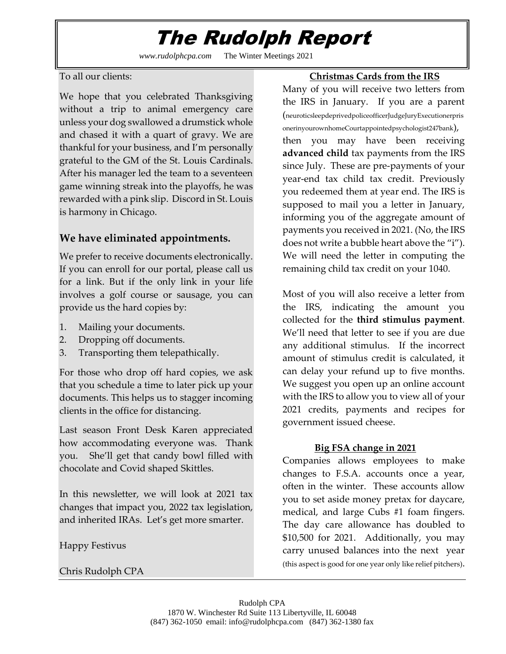## The Rudolph Report

*www.rudolphcpa.com* The Winter Meetings 2021

To all our clients:

We hope that you celebrated Thanksgiving without a trip to animal emergency care unless your dog swallowed a drumstick whole and chased it with a quart of gravy. We are thankful for your business, and I'm personally grateful to the GM of the St. Louis Cardinals. After his manager led the team to a seventeen game winning streak into the playoffs, he was rewarded with a pink slip. Discord in St. Louis is harmony in Chicago.

## **We have eliminated appointments.**

We prefer to receive documents electronically. If you can enroll for our portal, please call us for a link. But if the only link in your life involves a golf course or sausage, you can provide us the hard copies by:

- 1. Mailing your documents.
- 2. Dropping off documents.
- 3. Transporting them telepathically.

For those who drop off hard copies, we ask that you schedule a time to later pick up your documents. This helps us to stagger incoming clients in the office for distancing.

Last season Front Desk Karen appreciated how accommodating everyone was. Thank you. She'll get that candy bowl filled with chocolate and Covid shaped Skittles.

In this newsletter, we will look at 2021 tax changes that impact you, 2022 tax legislation, and inherited IRAs. Let's get more smarter.

Happy Festivus

Chris Rudolph CPA

### **Christmas Cards from the IRS**

Many of you will receive two letters from the IRS in January. If you are a parent (neuroticsleepdeprivedpoliceofficerJudgeJuryExecutionerpris onerinyourownhomeCourtappointedpsychologist247bank), then you may have been receiving **advanced child** tax payments from the IRS since July. These are pre-payments of your year-end tax child tax credit. Previously you redeemed them at year end. The IRS is supposed to mail you a letter in January, informing you of the aggregate amount of payments you received in 2021. (No, the IRS does not write a bubble heart above the "i"). We will need the letter in computing the remaining child tax credit on your 1040.

Most of you will also receive a letter from the IRS, indicating the amount you collected for the **third stimulus payment**. We'll need that letter to see if you are due any additional stimulus. If the incorrect amount of stimulus credit is calculated, it can delay your refund up to five months. We suggest you open up an online account with the IRS to allow you to view all of your 2021 credits, payments and recipes for government issued cheese.

## **Big FSA change in 2021**

Companies allows employees to make changes to F.S.A. accounts once a year, often in the winter. These accounts allow you to set aside money pretax for daycare, medical, and large Cubs #1 foam fingers. The day care allowance has doubled to \$10,500 for 2021. Additionally, you may carry unused balances into the next year (this aspect is good for one year only like relief pitchers).